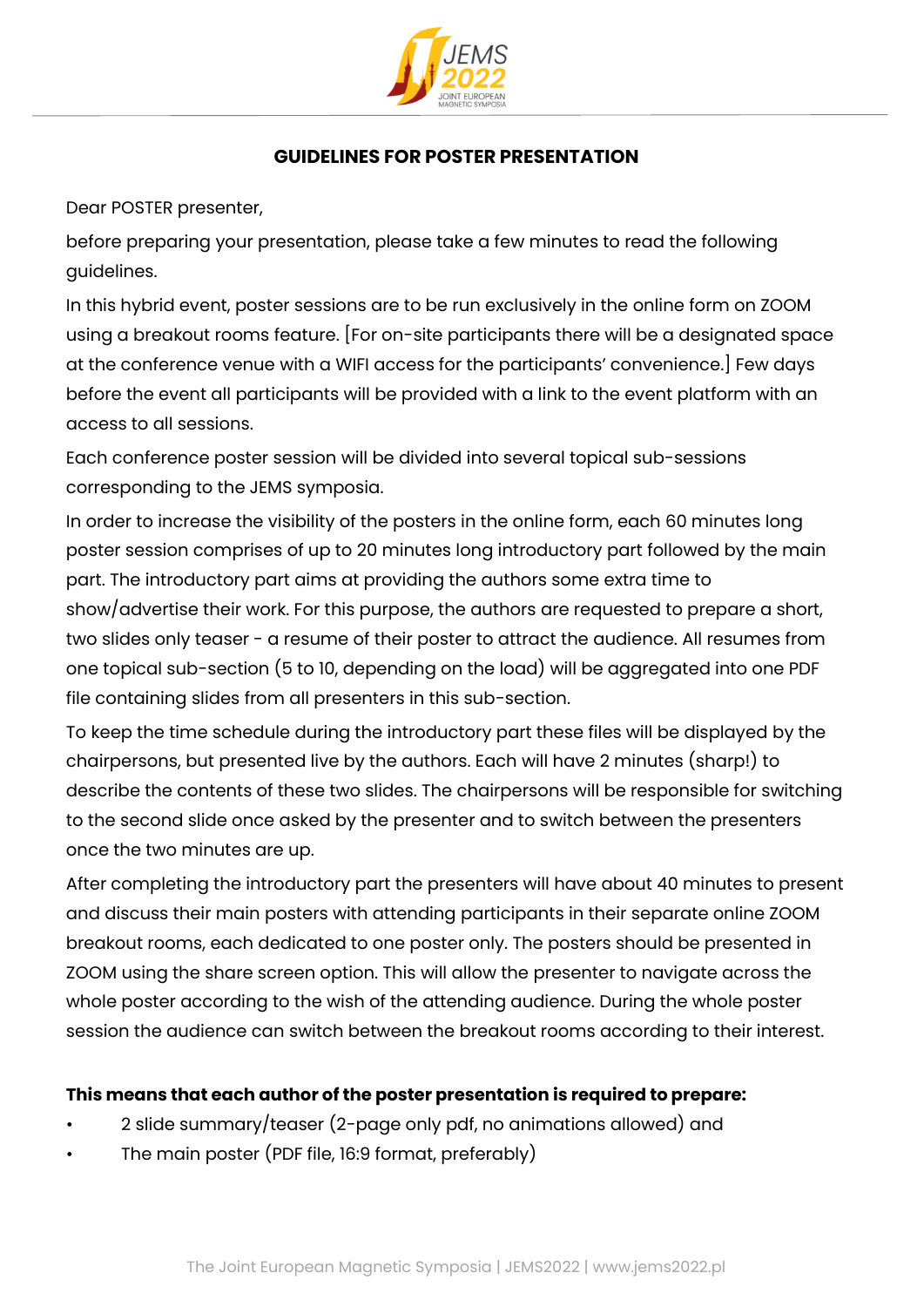

## **GUIDELINES FOR POSTER PRESENTATION**

Dear POSTER presenter,

before preparing your presentation, please take a few minutes to read the following guidelines.

In this hybrid event, poster sessions are to be run exclusively in the online form on ZOOM using a breakout rooms feature. [For on-site participants there will be a designated space at the conference venue with a WIFI access for the participants' convenience.] Few days before the event all participants will be provided with a link to the event platform with an access to all sessions.

Each conference poster session will be divided into several topical sub-sessions corresponding to the JEMS symposia.

In order to increase the visibility of the posters in the online form, each 60 minutes long poster session comprises of up to 20 minutes long introductory part followed by the main part. The introductory part aims at providing the authors some extra time to show/advertise their work. For this purpose, the authors are requested to prepare a short, two slides only teaser - a resume of their poster to attract the audience. All resumes from one topical sub-section (5 to 10, depending on the load) will be aggregated into one PDF file containing slides from all presenters in this sub-section.

To keep the time schedule during the introductory part these files will be displayed by the chairpersons, but presented live by the authors. Each will have 2 minutes (sharp!) to describe the contents of these two slides. The chairpersons will be responsible for switching to the second slide once asked by the presenter and to switch between the presenters once the two minutes are up.

After completing the introductory part the presenters will have about 40 minutes to present and discuss their main posters with attending participants in their separate online ZOOM breakout rooms, each dedicated to one poster only. The posters should be presented in ZOOM using the share screen option. This will allow the presenter to navigate across the whole poster according to the wish of the attending audience. During the whole poster session the audience can switch between the breakout rooms according to their interest.

### **This means that each author of the poster presentation is required to prepare:**

- 2 slide summary/teaser (2-page only pdf, no animations allowed) and
- The main poster (PDF file, 16:9 format, preferably)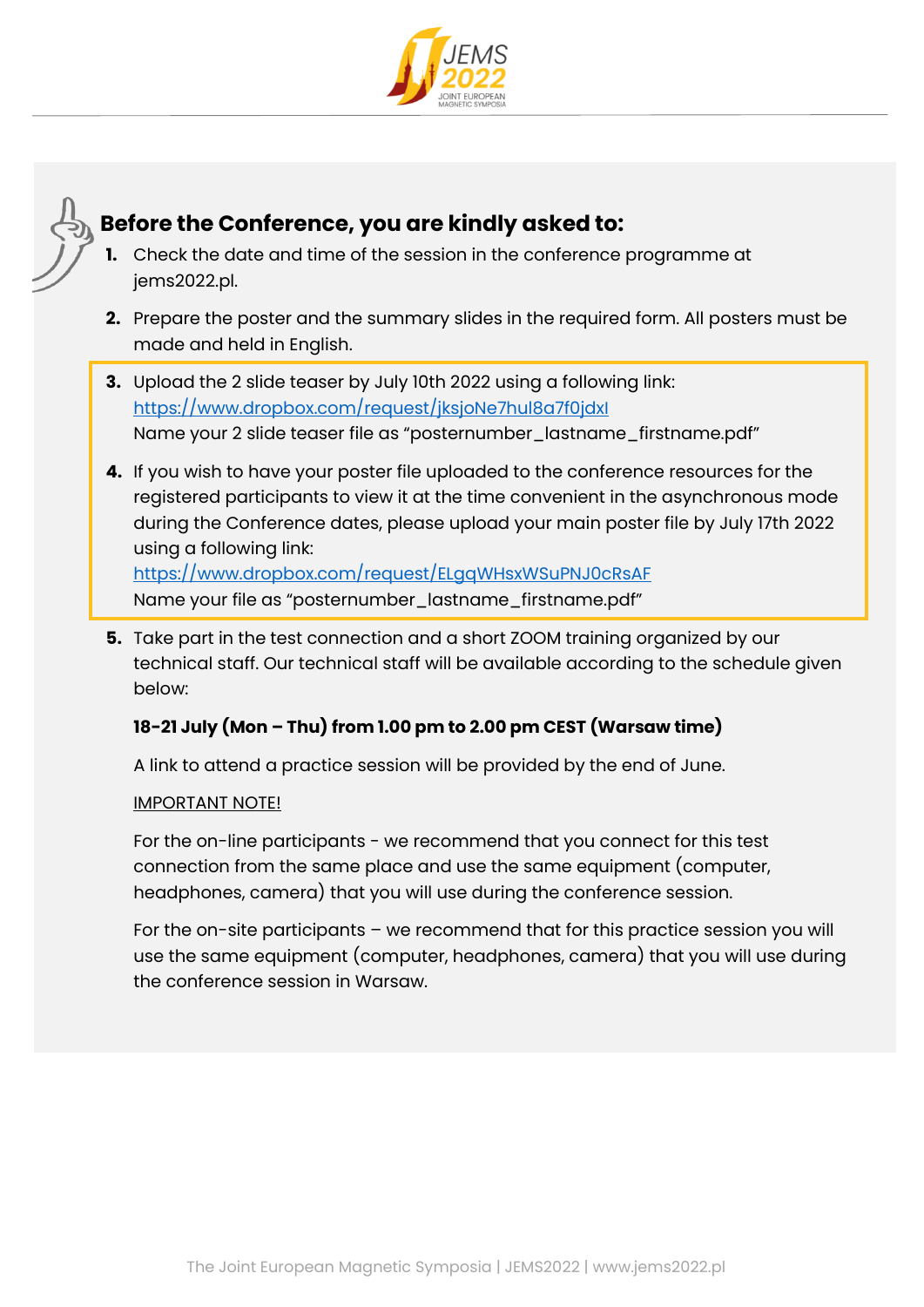



# **Before the Conference, you are kindly asked to:**

- **1.** Check the date and time of the session in the conference programme at iems2022.pl.
- **2.** Prepare the poster and the summary slides in the required form. All posters must be made and held in English.
- **3.** Upload the 2 slide teaser by July 10th 2022 using a following link: <https://www.dropbox.com/request/jksjoNe7hul8a7f0jdxI> Name your 2 slide teaser file as "posternumber\_lastname\_firstname.pdf"
- **4.** If you wish to have your poster file uploaded to the conference resources for the registered participants to view it at the time convenient in the asynchronous mode during the Conference dates, please upload your main poster file by July 17th 2022 using a following link: <https://www.dropbox.com/request/ELgqWHsxWSuPNJ0cRsAF>
	- Name your file as "posternumber\_lastname\_firstname.pdf"
- **5.** Take part in the test connection and a short ZOOM training organized by our technical staff. Our technical staff will be available according to the schedule given below:

## **18-21 July (Mon – Thu) from 1.00 pm to 2.00 pm CEST (Warsaw time)**

A link to attend a practice session will be provided by the end of June.

### IMPORTANT NOTE!

For the on-line participants - we recommend that you connect for this test connection from the same place and use the same equipment (computer, headphones, camera) that you will use during the conference session.

For the on-site participants – we recommend that for this practice session you will use the same equipment (computer, headphones, camera) that you will use during the conference session in Warsaw.